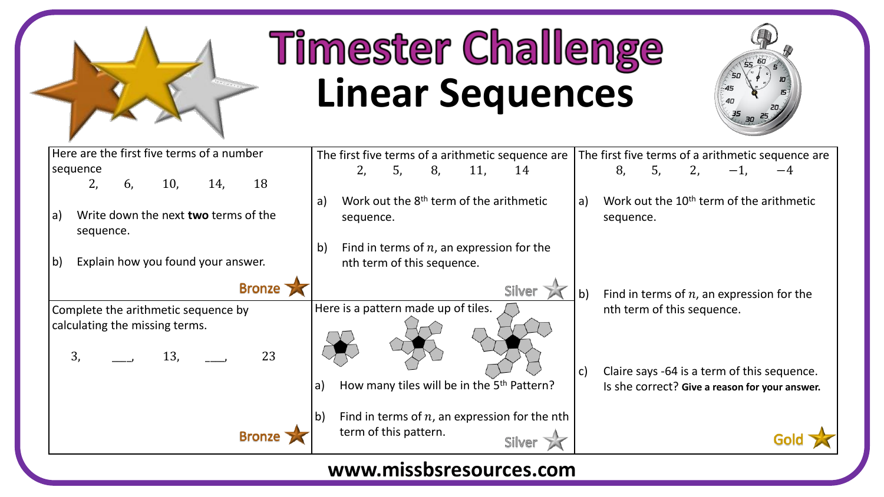

## **Timester Challenge Linear Sequences**



| Here are the first five terms of a number                | The first five terms of a arithmetic sequence are                      | The first five terms of a arithmetic sequence are                               |
|----------------------------------------------------------|------------------------------------------------------------------------|---------------------------------------------------------------------------------|
| sequence                                                 | 2,<br>8,<br>5,<br>11,<br>14                                            | 8,<br>5,<br>2,                                                                  |
| 2,<br>18<br>10,<br>6,<br>14,                             |                                                                        |                                                                                 |
| Write down the next two terms of the<br> a)<br>sequence. | Work out the 8 <sup>th</sup> term of the arithmetic<br>a)<br>sequence. | Work out the 10 <sup>th</sup> term of the arithmetic<br>$\vert a)$<br>sequence. |
|                                                          | Find in terms of $n$ , an expression for the<br>$\mathsf{b}$           |                                                                                 |
| b)<br>Explain how you found your answer.                 | nth term of this sequence.                                             |                                                                                 |
| <b>Bronze</b>                                            | Silver                                                                 | $\mathsf{b}$<br>Find in terms of $n$ , an expression for the                    |
| Complete the arithmetic sequence by                      | Here is a pattern made up of tiles.                                    | nth term of this sequence.                                                      |
| calculating the missing terms.<br>23<br>13,<br>3,        |                                                                        |                                                                                 |
|                                                          |                                                                        | $\vert$ c)<br>Claire says -64 is a term of this sequence.                       |
|                                                          | How many tiles will be in the 5 <sup>th</sup> Pattern?<br>a)           | Is she correct? Give a reason for your answer.                                  |
|                                                          | Find in terms of $n$ , an expression for the nth<br>$\mathsf{b}$       |                                                                                 |
|                                                          | term of this pattern.<br>Silver                                        |                                                                                 |
|                                                          |                                                                        |                                                                                 |

## **www.missbsresources.com**